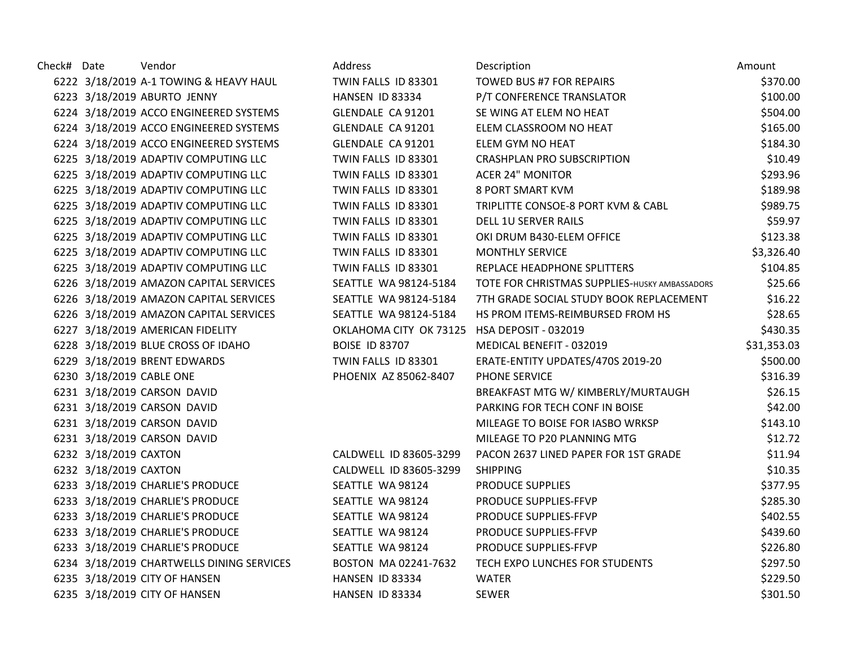| Check# Date |                       | Vendor                                    | Address                                     | Description                                   | Amount      |
|-------------|-----------------------|-------------------------------------------|---------------------------------------------|-----------------------------------------------|-------------|
|             |                       | 6222 3/18/2019 A-1 TOWING & HEAVY HAUL    | TWIN FALLS ID 83301                         | TOWED BUS #7 FOR REPAIRS                      | \$370.00    |
|             |                       | 6223 3/18/2019 ABURTO JENNY               | HANSEN ID 83334                             | P/T CONFERENCE TRANSLATOR                     | \$100.00    |
|             |                       | 6224 3/18/2019 ACCO ENGINEERED SYSTEMS    | GLENDALE CA 91201                           | SE WING AT ELEM NO HEAT                       | \$504.00    |
|             |                       | 6224 3/18/2019 ACCO ENGINEERED SYSTEMS    | GLENDALE CA 91201                           | ELEM CLASSROOM NO HEAT                        | \$165.00    |
|             |                       | 6224 3/18/2019 ACCO ENGINEERED SYSTEMS    | GLENDALE CA 91201                           | ELEM GYM NO HEAT                              | \$184.30    |
|             |                       | 6225 3/18/2019 ADAPTIV COMPUTING LLC      | TWIN FALLS ID 83301                         | <b>CRASHPLAN PRO SUBSCRIPTION</b>             | \$10.49     |
|             |                       | 6225 3/18/2019 ADAPTIV COMPUTING LLC      | TWIN FALLS ID 83301                         | <b>ACER 24" MONITOR</b>                       | \$293.96    |
|             |                       | 6225 3/18/2019 ADAPTIV COMPUTING LLC      | TWIN FALLS ID 83301                         | <b>8 PORT SMART KVM</b>                       | \$189.98    |
|             |                       | 6225 3/18/2019 ADAPTIV COMPUTING LLC      | TWIN FALLS ID 83301                         | TRIPLITTE CONSOE-8 PORT KVM & CABL            | \$989.75    |
|             |                       | 6225 3/18/2019 ADAPTIV COMPUTING LLC      | TWIN FALLS ID 83301                         | <b>DELL 1U SERVER RAILS</b>                   | \$59.97     |
|             |                       | 6225 3/18/2019 ADAPTIV COMPUTING LLC      | TWIN FALLS ID 83301                         | OKI DRUM B430-ELEM OFFICE                     | \$123.38    |
|             |                       | 6225 3/18/2019 ADAPTIV COMPUTING LLC      | TWIN FALLS ID 83301                         | <b>MONTHLY SERVICE</b>                        | \$3,326.40  |
|             |                       | 6225 3/18/2019 ADAPTIV COMPUTING LLC      | TWIN FALLS ID 83301                         | REPLACE HEADPHONE SPLITTERS                   | \$104.85    |
|             |                       | 6226 3/18/2019 AMAZON CAPITAL SERVICES    | SEATTLE WA 98124-5184                       | TOTE FOR CHRISTMAS SUPPLIES-HUSKY AMBASSADORS | \$25.66     |
|             |                       | 6226 3/18/2019 AMAZON CAPITAL SERVICES    | SEATTLE WA 98124-5184                       | 7TH GRADE SOCIAL STUDY BOOK REPLACEMENT       | \$16.22     |
|             |                       | 6226 3/18/2019 AMAZON CAPITAL SERVICES    | SEATTLE WA 98124-5184                       | HS PROM ITEMS-REIMBURSED FROM HS              | \$28.65     |
|             |                       | 6227 3/18/2019 AMERICAN FIDELITY          | OKLAHOMA CITY OK 73125 HSA DEPOSIT - 032019 |                                               | \$430.35    |
|             |                       | 6228 3/18/2019 BLUE CROSS OF IDAHO        | <b>BOISE ID 83707</b>                       | MEDICAL BENEFIT - 032019                      | \$31,353.03 |
|             |                       | 6229 3/18/2019 BRENT EDWARDS              | TWIN FALLS ID 83301                         | ERATE-ENTITY UPDATES/470S 2019-20             | \$500.00    |
|             |                       | 6230 3/18/2019 CABLE ONE                  | PHOENIX AZ 85062-8407                       | PHONE SERVICE                                 | \$316.39    |
|             |                       | 6231 3/18/2019 CARSON DAVID               |                                             | BREAKFAST MTG W/ KIMBERLY/MURTAUGH            | \$26.15     |
|             |                       | 6231 3/18/2019 CARSON DAVID               |                                             | PARKING FOR TECH CONF IN BOISE                | \$42.00     |
|             |                       | 6231 3/18/2019 CARSON DAVID               |                                             | MILEAGE TO BOISE FOR IASBO WRKSP              | \$143.10    |
|             |                       | 6231 3/18/2019 CARSON DAVID               |                                             | MILEAGE TO P20 PLANNING MTG                   | \$12.72     |
|             | 6232 3/18/2019 CAXTON |                                           | CALDWELL ID 83605-3299                      | PACON 2637 LINED PAPER FOR 1ST GRADE          | \$11.94     |
|             | 6232 3/18/2019 CAXTON |                                           | CALDWELL ID 83605-3299                      | <b>SHIPPING</b>                               | \$10.35     |
|             |                       | 6233 3/18/2019 CHARLIE'S PRODUCE          | SEATTLE WA 98124                            | PRODUCE SUPPLIES                              | \$377.95    |
|             |                       | 6233 3/18/2019 CHARLIE'S PRODUCE          | SEATTLE WA 98124                            | PRODUCE SUPPLIES-FFVP                         | \$285.30    |
|             |                       | 6233 3/18/2019 CHARLIE'S PRODUCE          | SEATTLE WA 98124                            | PRODUCE SUPPLIES-FFVP                         | \$402.55    |
|             |                       | 6233 3/18/2019 CHARLIE'S PRODUCE          | SEATTLE WA 98124                            | PRODUCE SUPPLIES-FFVP                         | \$439.60    |
|             |                       | 6233 3/18/2019 CHARLIE'S PRODUCE          | SEATTLE WA 98124                            | PRODUCE SUPPLIES-FFVP                         | \$226.80    |
|             |                       | 6234 3/18/2019 CHARTWELLS DINING SERVICES | BOSTON MA 02241-7632                        | TECH EXPO LUNCHES FOR STUDENTS                | \$297.50    |
|             |                       | 6235 3/18/2019 CITY OF HANSEN             | HANSEN ID 83334                             | <b>WATER</b>                                  | \$229.50    |
|             |                       | 6235 3/18/2019 CITY OF HANSEN             | HANSEN ID 83334                             | <b>SEWER</b>                                  | \$301.50    |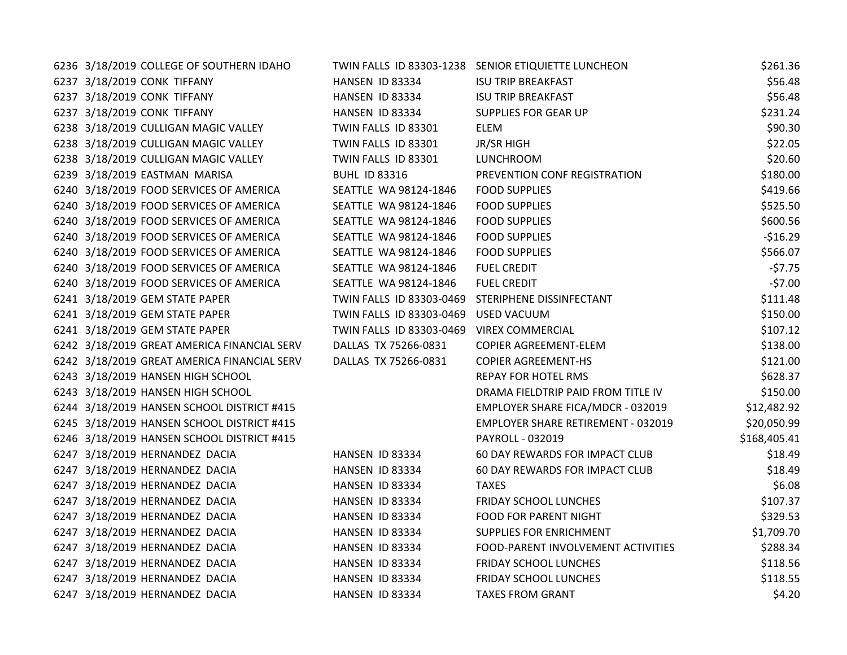| 6236 3/18/2019 COLLEGE OF SOUTHERN IDAHO    |                          | TWIN FALLS ID 83303-1238 SENIOR ETIQUIETTE LUNCHEON | \$261.36     |
|---------------------------------------------|--------------------------|-----------------------------------------------------|--------------|
| 6237 3/18/2019 CONK TIFFANY                 | HANSEN ID 83334          | <b>ISU TRIP BREAKFAST</b>                           | \$56.48      |
| 6237 3/18/2019 CONK TIFFANY                 | HANSEN ID 83334          | <b>ISU TRIP BREAKFAST</b>                           | \$56.48      |
| 6237 3/18/2019 CONK TIFFANY                 | HANSEN ID 83334          | SUPPLIES FOR GEAR UP                                | \$231.24     |
| 6238 3/18/2019 CULLIGAN MAGIC VALLEY        | TWIN FALLS ID 83301      | ELEM                                                | \$90.30      |
| 6238 3/18/2019 CULLIGAN MAGIC VALLEY        | TWIN FALLS ID 83301      | JR/SR HIGH                                          | \$22.05      |
| 6238 3/18/2019 CULLIGAN MAGIC VALLEY        | TWIN FALLS ID 83301      | LUNCHROOM                                           | \$20.60      |
| 6239 3/18/2019 EASTMAN MARISA               | <b>BUHL ID 83316</b>     | PREVENTION CONF REGISTRATION                        | \$180.00     |
| 6240 3/18/2019 FOOD SERVICES OF AMERICA     | SEATTLE WA 98124-1846    | <b>FOOD SUPPLIES</b>                                | \$419.66     |
| 6240 3/18/2019 FOOD SERVICES OF AMERICA     | SEATTLE WA 98124-1846    | <b>FOOD SUPPLIES</b>                                | \$525.50     |
| 6240 3/18/2019 FOOD SERVICES OF AMERICA     | SEATTLE WA 98124-1846    | <b>FOOD SUPPLIES</b>                                | \$600.56     |
| 6240 3/18/2019 FOOD SERVICES OF AMERICA     | SEATTLE WA 98124-1846    | <b>FOOD SUPPLIES</b>                                | $-$16.29$    |
| 6240 3/18/2019 FOOD SERVICES OF AMERICA     | SEATTLE WA 98124-1846    | <b>FOOD SUPPLIES</b>                                | \$566.07     |
| 6240 3/18/2019 FOOD SERVICES OF AMERICA     | SEATTLE WA 98124-1846    | <b>FUEL CREDIT</b>                                  | $-57.75$     |
| 6240 3/18/2019 FOOD SERVICES OF AMERICA     | SEATTLE WA 98124-1846    | <b>FUEL CREDIT</b>                                  | $-57.00$     |
| 6241 3/18/2019 GEM STATE PAPER              | TWIN FALLS ID 83303-0469 | STERIPHENE DISSINFECTANT                            | \$111.48     |
| 6241 3/18/2019 GEM STATE PAPER              | TWIN FALLS ID 83303-0469 | <b>USED VACUUM</b>                                  | \$150.00     |
| 6241 3/18/2019 GEM STATE PAPER              | TWIN FALLS ID 83303-0469 | <b>VIREX COMMERCIAL</b>                             | \$107.12     |
| 6242 3/18/2019 GREAT AMERICA FINANCIAL SERV | DALLAS TX 75266-0831     | COPIER AGREEMENT-ELEM                               | \$138.00     |
| 6242 3/18/2019 GREAT AMERICA FINANCIAL SERV | DALLAS TX 75266-0831     | <b>COPIER AGREEMENT-HS</b>                          | \$121.00     |
| 6243 3/18/2019 HANSEN HIGH SCHOOL           |                          | <b>REPAY FOR HOTEL RMS</b>                          | \$628.37     |
| 6243 3/18/2019 HANSEN HIGH SCHOOL           |                          | DRAMA FIELDTRIP PAID FROM TITLE IV                  | \$150.00     |
| 6244 3/18/2019 HANSEN SCHOOL DISTRICT #415  |                          | EMPLOYER SHARE FICA/MDCR - 032019                   | \$12,482.92  |
| 6245 3/18/2019 HANSEN SCHOOL DISTRICT #415  |                          | <b>EMPLOYER SHARE RETIREMENT - 032019</b>           | \$20,050.99  |
| 6246 3/18/2019 HANSEN SCHOOL DISTRICT #415  |                          | PAYROLL - 032019                                    | \$168,405.41 |
| 6247 3/18/2019 HERNANDEZ DACIA              | HANSEN ID 83334          | 60 DAY REWARDS FOR IMPACT CLUB                      | \$18.49      |
| 6247 3/18/2019 HERNANDEZ DACIA              | HANSEN ID 83334          | 60 DAY REWARDS FOR IMPACT CLUB                      | \$18.49      |
| 6247 3/18/2019 HERNANDEZ DACIA              | HANSEN ID 83334          | <b>TAXES</b>                                        | \$6.08       |
| 6247 3/18/2019 HERNANDEZ DACIA              | HANSEN ID 83334          | FRIDAY SCHOOL LUNCHES                               | \$107.37     |
| 6247 3/18/2019 HERNANDEZ DACIA              | HANSEN ID 83334          | <b>FOOD FOR PARENT NIGHT</b>                        | \$329.53     |
| 6247 3/18/2019 HERNANDEZ DACIA              | HANSEN ID 83334          | SUPPLIES FOR ENRICHMENT                             | \$1,709.70   |
| 6247 3/18/2019 HERNANDEZ DACIA              | HANSEN ID 83334          | FOOD-PARENT INVOLVEMENT ACTIVITIES                  | \$288.34     |
| 6247 3/18/2019 HERNANDEZ DACIA              | HANSEN ID 83334          | <b>FRIDAY SCHOOL LUNCHES</b>                        | \$118.56     |
| 6247 3/18/2019 HERNANDEZ DACIA              | HANSEN ID 83334          | FRIDAY SCHOOL LUNCHES                               | \$118.55     |
| 6247 3/18/2019 HERNANDEZ DACIA              | HANSEN ID 83334          | <b>TAXES FROM GRANT</b>                             | \$4.20       |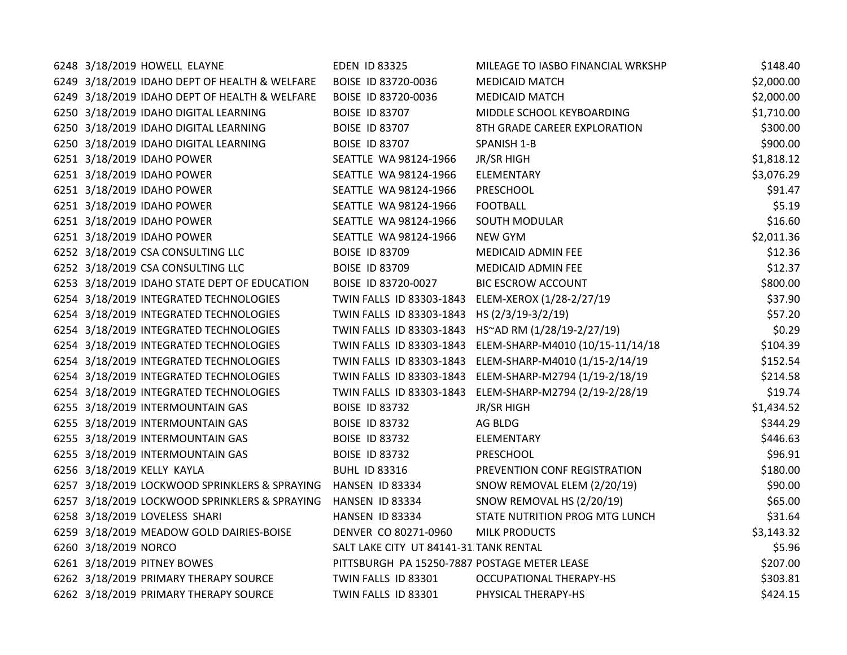| 6248 3/18/2019 HOWELL ELAYNE                  | <b>EDEN ID 83325</b>                         | MILEAGE TO IASBO FINANCIAL WRKSHP                         | \$148.40   |
|-----------------------------------------------|----------------------------------------------|-----------------------------------------------------------|------------|
| 6249 3/18/2019 IDAHO DEPT OF HEALTH & WELFARE | BOISE ID 83720-0036                          | <b>MEDICAID MATCH</b>                                     | \$2,000.00 |
| 6249 3/18/2019 IDAHO DEPT OF HEALTH & WELFARE | BOISE ID 83720-0036                          | <b>MEDICAID MATCH</b>                                     | \$2,000.00 |
| 6250 3/18/2019 IDAHO DIGITAL LEARNING         | <b>BOISE ID 83707</b>                        | MIDDLE SCHOOL KEYBOARDING                                 | \$1,710.00 |
| 6250 3/18/2019 IDAHO DIGITAL LEARNING         | <b>BOISE ID 83707</b>                        | 8TH GRADE CAREER EXPLORATION                              | \$300.00   |
| 6250 3/18/2019 IDAHO DIGITAL LEARNING         | <b>BOISE ID 83707</b>                        | SPANISH 1-B                                               | \$900.00   |
| 6251 3/18/2019 IDAHO POWER                    | SEATTLE WA 98124-1966                        | JR/SR HIGH                                                | \$1,818.12 |
| 6251 3/18/2019 IDAHO POWER                    | SEATTLE WA 98124-1966                        | ELEMENTARY                                                | \$3,076.29 |
| 6251 3/18/2019 IDAHO POWER                    | SEATTLE WA 98124-1966                        | PRESCHOOL                                                 | \$91.47    |
| 6251 3/18/2019 IDAHO POWER                    | SEATTLE WA 98124-1966                        | <b>FOOTBALL</b>                                           | \$5.19     |
| 6251 3/18/2019 IDAHO POWER                    | SEATTLE WA 98124-1966                        | <b>SOUTH MODULAR</b>                                      | \$16.60    |
| 6251 3/18/2019 IDAHO POWER                    | SEATTLE WA 98124-1966                        | NEW GYM                                                   | \$2,011.36 |
| 6252 3/18/2019 CSA CONSULTING LLC             | <b>BOISE ID 83709</b>                        | MEDICAID ADMIN FEE                                        | \$12.36    |
| 6252 3/18/2019 CSA CONSULTING LLC             | <b>BOISE ID 83709</b>                        | MEDICAID ADMIN FEE                                        | \$12.37    |
| 6253 3/18/2019 IDAHO STATE DEPT OF EDUCATION  | BOISE ID 83720-0027                          | <b>BIC ESCROW ACCOUNT</b>                                 | \$800.00   |
| 6254 3/18/2019 INTEGRATED TECHNOLOGIES        |                                              | TWIN FALLS ID 83303-1843 ELEM-XEROX (1/28-2/27/19         | \$37.90    |
| 6254 3/18/2019 INTEGRATED TECHNOLOGIES        | TWIN FALLS ID 83303-1843                     | HS (2/3/19-3/2/19)                                        | \$57.20    |
| 6254 3/18/2019 INTEGRATED TECHNOLOGIES        |                                              | TWIN FALLS ID 83303-1843 HS~AD RM (1/28/19-2/27/19)       | \$0.29     |
| 6254 3/18/2019 INTEGRATED TECHNOLOGIES        |                                              | TWIN FALLS ID 83303-1843 ELEM-SHARP-M4010 (10/15-11/14/18 | \$104.39   |
| 6254 3/18/2019 INTEGRATED TECHNOLOGIES        |                                              | TWIN FALLS ID 83303-1843 ELEM-SHARP-M4010 (1/15-2/14/19   | \$152.54   |
| 6254 3/18/2019 INTEGRATED TECHNOLOGIES        |                                              | TWIN FALLS ID 83303-1843 ELEM-SHARP-M2794 (1/19-2/18/19   | \$214.58   |
| 6254 3/18/2019 INTEGRATED TECHNOLOGIES        |                                              | TWIN FALLS ID 83303-1843 ELEM-SHARP-M2794 (2/19-2/28/19   | \$19.74    |
| 6255 3/18/2019 INTERMOUNTAIN GAS              | <b>BOISE ID 83732</b>                        | JR/SR HIGH                                                | \$1,434.52 |
| 6255 3/18/2019 INTERMOUNTAIN GAS              | <b>BOISE ID 83732</b>                        | AG BLDG                                                   | \$344.29   |
| 6255 3/18/2019 INTERMOUNTAIN GAS              | <b>BOISE ID 83732</b>                        | ELEMENTARY                                                | \$446.63   |
| 6255 3/18/2019 INTERMOUNTAIN GAS              | <b>BOISE ID 83732</b>                        | PRESCHOOL                                                 | \$96.91    |
| 6256 3/18/2019 KELLY KAYLA                    | <b>BUHL ID 83316</b>                         | PREVENTION CONF REGISTRATION                              | \$180.00   |
| 6257 3/18/2019 LOCKWOOD SPRINKLERS & SPRAYING | HANSEN ID 83334                              | SNOW REMOVAL ELEM (2/20/19)                               | \$90.00    |
| 6257 3/18/2019 LOCKWOOD SPRINKLERS & SPRAYING | HANSEN ID 83334                              | SNOW REMOVAL HS (2/20/19)                                 | \$65.00    |
| 6258 3/18/2019 LOVELESS SHARI                 | HANSEN ID 83334                              | STATE NUTRITION PROG MTG LUNCH                            | \$31.64    |
| 6259 3/18/2019 MEADOW GOLD DAIRIES-BOISE      | DENVER CO 80271-0960                         | <b>MILK PRODUCTS</b>                                      | \$3,143.32 |
| 6260 3/18/2019 NORCO                          | SALT LAKE CITY UT 84141-31 TANK RENTAL       |                                                           | \$5.96     |
| 6261 3/18/2019 PITNEY BOWES                   | PITTSBURGH PA 15250-7887 POSTAGE METER LEASE |                                                           | \$207.00   |
| 6262 3/18/2019 PRIMARY THERAPY SOURCE         | TWIN FALLS ID 83301                          | <b>OCCUPATIONAL THERAPY-HS</b>                            | \$303.81   |
| 6262 3/18/2019 PRIMARY THERAPY SOURCE         | TWIN FALLS ID 83301                          | PHYSICAL THERAPY-HS                                       | \$424.15   |